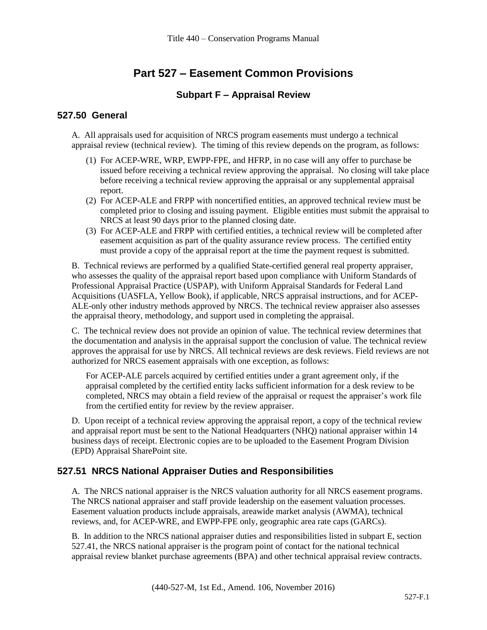# **Part 527 – Easement Common Provisions**

#### **Subpart F – Appraisal Review**

#### **527.50 General**

A. All appraisals used for acquisition of NRCS program easements must undergo a technical appraisal review (technical review). The timing of this review depends on the program, as follows:

- (1) For ACEP-WRE, WRP, EWPP-FPE, and HFRP, in no case will any offer to purchase be issued before receiving a technical review approving the appraisal. No closing will take place before receiving a technical review approving the appraisal or any supplemental appraisal report.
- (2) For ACEP-ALE and FRPP with noncertified entities, an approved technical review must be completed prior to closing and issuing payment. Eligible entities must submit the appraisal to NRCS at least 90 days prior to the planned closing date.
- (3) For ACEP-ALE and FRPP with certified entities, a technical review will be completed after easement acquisition as part of the quality assurance review process. The certified entity must provide a copy of the appraisal report at the time the payment request is submitted.

B. Technical reviews are performed by a qualified State-certified general real property appraiser, who assesses the quality of the appraisal report based upon compliance with Uniform Standards of Professional Appraisal Practice (USPAP), with Uniform Appraisal Standards for Federal Land Acquisitions (UASFLA, Yellow Book), if applicable, NRCS appraisal instructions, and for ACEP-ALE-only other industry methods approved by NRCS. The technical review appraiser also assesses the appraisal theory, methodology, and support used in completing the appraisal.

C. The technical review does not provide an opinion of value. The technical review determines that the documentation and analysis in the appraisal support the conclusion of value. The technical review approves the appraisal for use by NRCS. All technical reviews are desk reviews. Field reviews are not authorized for NRCS easement appraisals with one exception, as follows:

For ACEP-ALE parcels acquired by certified entities under a grant agreement only, if the appraisal completed by the certified entity lacks sufficient information for a desk review to be completed, NRCS may obtain a field review of the appraisal or request the appraiser's work file from the certified entity for review by the review appraiser.

D. Upon receipt of a technical review approving the appraisal report, a copy of the technical review and appraisal report must be sent to the National Headquarters (NHQ) national appraiser within 14 business days of receipt. Electronic copies are to be uploaded to the Easement Program Division (EPD) Appraisal SharePoint site.

### **527.51 NRCS National Appraiser Duties and Responsibilities**

A. The NRCS national appraiser is the NRCS valuation authority for all NRCS easement programs. The NRCS national appraiser and staff provide leadership on the easement valuation processes. Easement valuation products include appraisals, areawide market analysis (AWMA), technical reviews, and, for ACEP-WRE, and EWPP-FPE only, geographic area rate caps (GARCs).

B. In addition to the NRCS national appraiser duties and responsibilities listed in subpart E, section 527.41, the NRCS national appraiser is the program point of contact for the national technical appraisal review blanket purchase agreements (BPA) and other technical appraisal review contracts.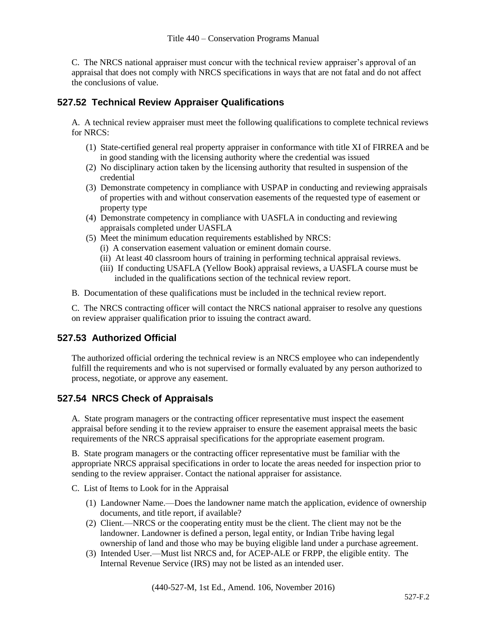C. The NRCS national appraiser must concur with the technical review appraiser's approval of an appraisal that does not comply with NRCS specifications in ways that are not fatal and do not affect the conclusions of value.

### **527.52 Technical Review Appraiser Qualifications**

A. A technical review appraiser must meet the following qualifications to complete technical reviews for NRCS:

- (1) State-certified general real property appraiser in conformance with title XI of FIRREA and be in good standing with the licensing authority where the credential was issued
- (2) No disciplinary action taken by the licensing authority that resulted in suspension of the credential
- (3) Demonstrate competency in compliance with USPAP in conducting and reviewing appraisals of properties with and without conservation easements of the requested type of easement or property type
- (4) Demonstrate competency in compliance with UASFLA in conducting and reviewing appraisals completed under UASFLA
- (5) Meet the minimum education requirements established by NRCS:
	- (i) A conservation easement valuation or eminent domain course.
	- (ii) At least 40 classroom hours of training in performing technical appraisal reviews.
	- (iii) If conducting USAFLA (Yellow Book) appraisal reviews, a UASFLA course must be included in the qualifications section of the technical review report.
- B. Documentation of these qualifications must be included in the technical review report.

C. The NRCS contracting officer will contact the NRCS national appraiser to resolve any questions on review appraiser qualification prior to issuing the contract award.

### **527.53 Authorized Official**

The authorized official ordering the technical review is an NRCS employee who can independently fulfill the requirements and who is not supervised or formally evaluated by any person authorized to process, negotiate, or approve any easement.

### **527.54 NRCS Check of Appraisals**

A. State program managers or the contracting officer representative must inspect the easement appraisal before sending it to the review appraiser to ensure the easement appraisal meets the basic requirements of the NRCS appraisal specifications for the appropriate easement program.

B. State program managers or the contracting officer representative must be familiar with the appropriate NRCS appraisal specifications in order to locate the areas needed for inspection prior to sending to the review appraiser. Contact the national appraiser for assistance.

C. List of Items to Look for in the Appraisal

- (1) Landowner Name.—Does the landowner name match the application, evidence of ownership documents, and title report, if available?
- (2) Client.—NRCS or the cooperating entity must be the client. The client may not be the landowner. Landowner is defined a person, legal entity, or Indian Tribe having legal ownership of land and those who may be buying eligible land under a purchase agreement.
- (3) Intended User.—Must list NRCS and, for ACEP-ALE or FRPP, the eligible entity. The Internal Revenue Service (IRS) may not be listed as an intended user.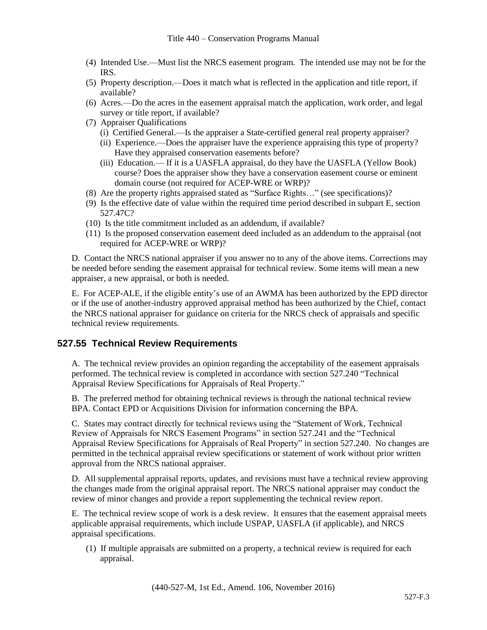- (4) Intended Use.—Must list the NRCS easement program. The intended use may not be for the IRS.
- (5) Property description.—Does it match what is reflected in the application and title report, if available?
- (6) Acres.—Do the acres in the easement appraisal match the application, work order, and legal survey or title report, if available?
- (7) Appraiser Qualifications
	- (i) Certified General.—Is the appraiser a State-certified general real property appraiser?
	- (ii) Experience.—Does the appraiser have the experience appraising this type of property? Have they appraised conservation easements before?
	- (iii) Education.— If it is a UASFLA appraisal, do they have the UASFLA (Yellow Book) course? Does the appraiser show they have a conservation easement course or eminent domain course (not required for ACEP-WRE or WRP)?
- (8) Are the property rights appraised stated as "Surface Rights…" (see specifications)?
- (9) Is the effective date of value within the required time period described in subpart E, section 527.47C?
- (10) Is the title commitment included as an addendum, if available?
- (11) Is the proposed conservation easement deed included as an addendum to the appraisal (not required for ACEP-WRE or WRP)?

D. Contact the NRCS national appraiser if you answer no to any of the above items. Corrections may be needed before sending the easement appraisal for technical review. Some items will mean a new appraiser, a new appraisal, or both is needed.

E. For ACEP-ALE, if the eligible entity's use of an AWMA has been authorized by the EPD director or if the use of another-industry approved appraisal method has been authorized by the Chief, contact the NRCS national appraiser for guidance on criteria for the NRCS check of appraisals and specific technical review requirements.

# **527.55 Technical Review Requirements**

A. The technical review provides an opinion regarding the acceptability of the easement appraisals performed. The technical review is completed in accordance with section 527.240 "Technical Appraisal Review Specifications for Appraisals of Real Property."

B. The preferred method for obtaining technical reviews is through the national technical review BPA. Contact EPD or Acquisitions Division for information concerning the BPA.

C. States may contract directly for technical reviews using the "Statement of Work, Technical Review of Appraisals for NRCS Easement Programs" in section 527.241 and the "Technical Appraisal Review Specifications for Appraisals of Real Property" in section 527.240. No changes are permitted in the technical appraisal review specifications or statement of work without prior written approval from the NRCS national appraiser.

D. All supplemental appraisal reports, updates, and revisions must have a technical review approving the changes made from the original appraisal report. The NRCS national appraiser may conduct the review of minor changes and provide a report supplementing the technical review report.

E. The technical review scope of work is a desk review. It ensures that the easement appraisal meets applicable appraisal requirements, which include USPAP, UASFLA (if applicable), and NRCS appraisal specifications.

(1) If multiple appraisals are submitted on a property, a technical review is required for each appraisal.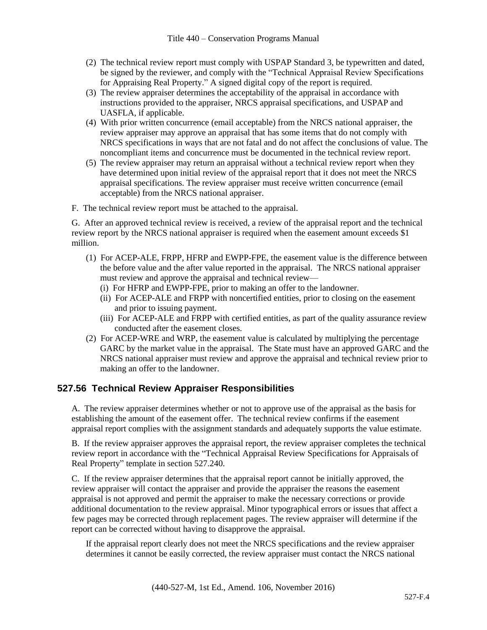- (2) The technical review report must comply with USPAP Standard 3, be typewritten and dated, be signed by the reviewer, and comply with the "Technical Appraisal Review Specifications for Appraising Real Property." A signed digital copy of the report is required.
- (3) The review appraiser determines the acceptability of the appraisal in accordance with instructions provided to the appraiser, NRCS appraisal specifications, and USPAP and UASFLA, if applicable.
- (4) With prior written concurrence (email acceptable) from the NRCS national appraiser, the review appraiser may approve an appraisal that has some items that do not comply with NRCS specifications in ways that are not fatal and do not affect the conclusions of value. The noncompliant items and concurrence must be documented in the technical review report.
- (5) The review appraiser may return an appraisal without a technical review report when they have determined upon initial review of the appraisal report that it does not meet the NRCS appraisal specifications. The review appraiser must receive written concurrence (email acceptable) from the NRCS national appraiser.
- F. The technical review report must be attached to the appraisal.

G. After an approved technical review is received, a review of the appraisal report and the technical review report by the NRCS national appraiser is required when the easement amount exceeds \$1 million.

- (1) For ACEP-ALE, FRPP, HFRP and EWPP-FPE, the easement value is the difference between the before value and the after value reported in the appraisal. The NRCS national appraiser must review and approve the appraisal and technical review—
	- (i) For HFRP and EWPP-FPE, prior to making an offer to the landowner.
	- (ii) For ACEP-ALE and FRPP with noncertified entities, prior to closing on the easement and prior to issuing payment.
	- (iii) For ACEP-ALE and FRPP with certified entities, as part of the quality assurance review conducted after the easement closes.
- (2) For ACEP-WRE and WRP, the easement value is calculated by multiplying the percentage GARC by the market value in the appraisal. The State must have an approved GARC and the NRCS national appraiser must review and approve the appraisal and technical review prior to making an offer to the landowner.

# **527.56 Technical Review Appraiser Responsibilities**

A. The review appraiser determines whether or not to approve use of the appraisal as the basis for establishing the amount of the easement offer. The technical review confirms if the easement appraisal report complies with the assignment standards and adequately supports the value estimate.

B. If the review appraiser approves the appraisal report, the review appraiser completes the technical review report in accordance with the "Technical Appraisal Review Specifications for Appraisals of Real Property" template in section 527.240.

C. If the review appraiser determines that the appraisal report cannot be initially approved, the review appraiser will contact the appraiser and provide the appraiser the reasons the easement appraisal is not approved and permit the appraiser to make the necessary corrections or provide additional documentation to the review appraisal. Minor typographical errors or issues that affect a few pages may be corrected through replacement pages. The review appraiser will determine if the report can be corrected without having to disapprove the appraisal.

If the appraisal report clearly does not meet the NRCS specifications and the review appraiser determines it cannot be easily corrected, the review appraiser must contact the NRCS national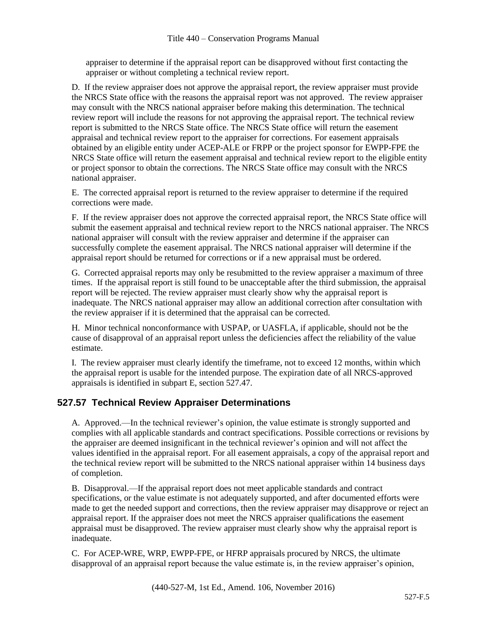appraiser to determine if the appraisal report can be disapproved without first contacting the appraiser or without completing a technical review report.

D. If the review appraiser does not approve the appraisal report, the review appraiser must provide the NRCS State office with the reasons the appraisal report was not approved. The review appraiser may consult with the NRCS national appraiser before making this determination. The technical review report will include the reasons for not approving the appraisal report. The technical review report is submitted to the NRCS State office. The NRCS State office will return the easement appraisal and technical review report to the appraiser for corrections. For easement appraisals obtained by an eligible entity under ACEP-ALE or FRPP or the project sponsor for EWPP-FPE the NRCS State office will return the easement appraisal and technical review report to the eligible entity or project sponsor to obtain the corrections. The NRCS State office may consult with the NRCS national appraiser.

E. The corrected appraisal report is returned to the review appraiser to determine if the required corrections were made.

F. If the review appraiser does not approve the corrected appraisal report, the NRCS State office will submit the easement appraisal and technical review report to the NRCS national appraiser. The NRCS national appraiser will consult with the review appraiser and determine if the appraiser can successfully complete the easement appraisal. The NRCS national appraiser will determine if the appraisal report should be returned for corrections or if a new appraisal must be ordered.

G. Corrected appraisal reports may only be resubmitted to the review appraiser a maximum of three times. If the appraisal report is still found to be unacceptable after the third submission, the appraisal report will be rejected. The review appraiser must clearly show why the appraisal report is inadequate. The NRCS national appraiser may allow an additional correction after consultation with the review appraiser if it is determined that the appraisal can be corrected.

H. Minor technical nonconformance with USPAP, or UASFLA, if applicable, should not be the cause of disapproval of an appraisal report unless the deficiencies affect the reliability of the value estimate.

I. The review appraiser must clearly identify the timeframe, not to exceed 12 months, within which the appraisal report is usable for the intended purpose. The expiration date of all NRCS-approved appraisals is identified in subpart E, section 527.47.

### **527.57 Technical Review Appraiser Determinations**

A. Approved.—In the technical reviewer's opinion, the value estimate is strongly supported and complies with all applicable standards and contract specifications. Possible corrections or revisions by the appraiser are deemed insignificant in the technical reviewer's opinion and will not affect the values identified in the appraisal report. For all easement appraisals, a copy of the appraisal report and the technical review report will be submitted to the NRCS national appraiser within 14 business days of completion.

B. Disapproval.—If the appraisal report does not meet applicable standards and contract specifications, or the value estimate is not adequately supported, and after documented efforts were made to get the needed support and corrections, then the review appraiser may disapprove or reject an appraisal report. If the appraiser does not meet the NRCS appraiser qualifications the easement appraisal must be disapproved. The review appraiser must clearly show why the appraisal report is inadequate.

C. For ACEP-WRE, WRP, EWPP-FPE, or HFRP appraisals procured by NRCS, the ultimate disapproval of an appraisal report because the value estimate is, in the review appraiser's opinion,